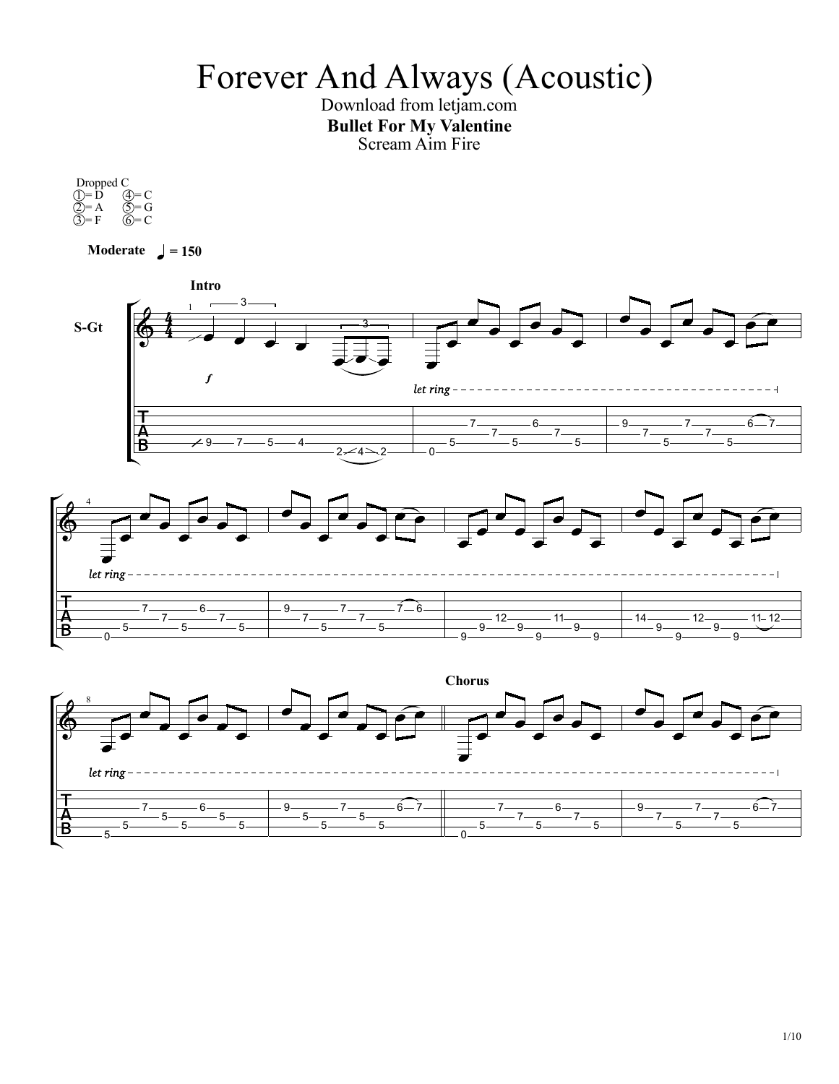## Forever And Always (Acoustic)

Download from letjam.com Bullet For My Valentine ScreamAim Fire

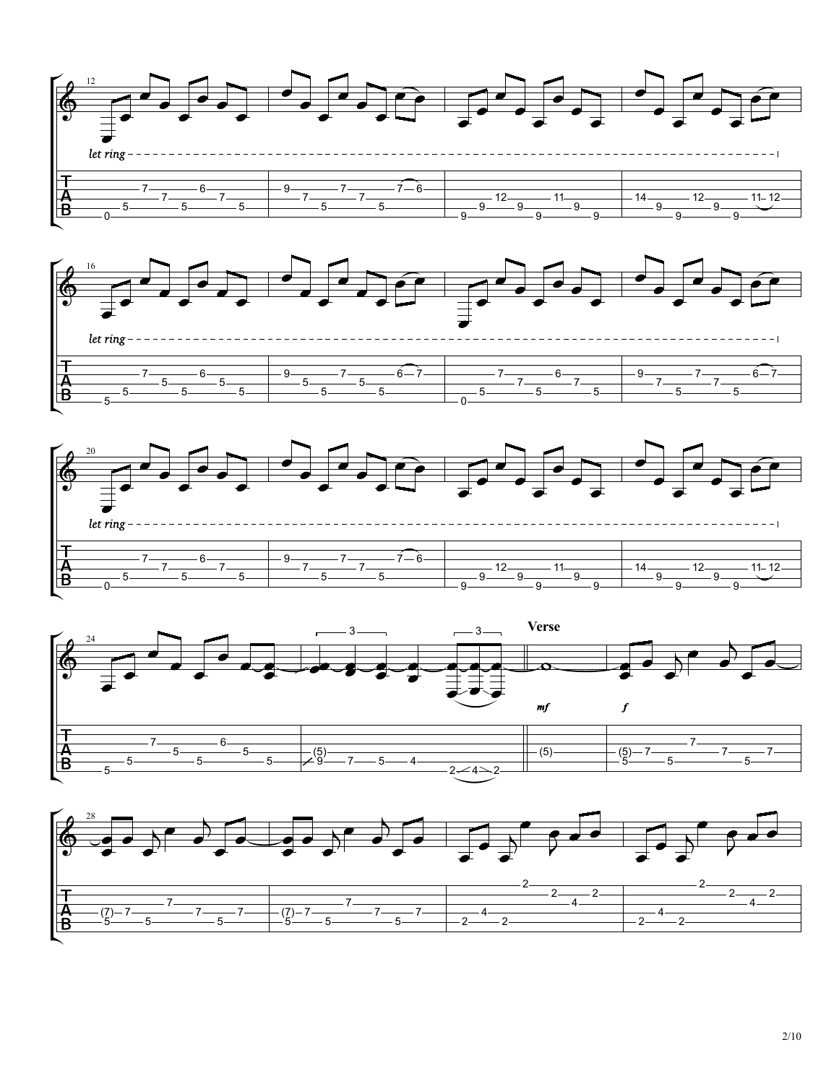







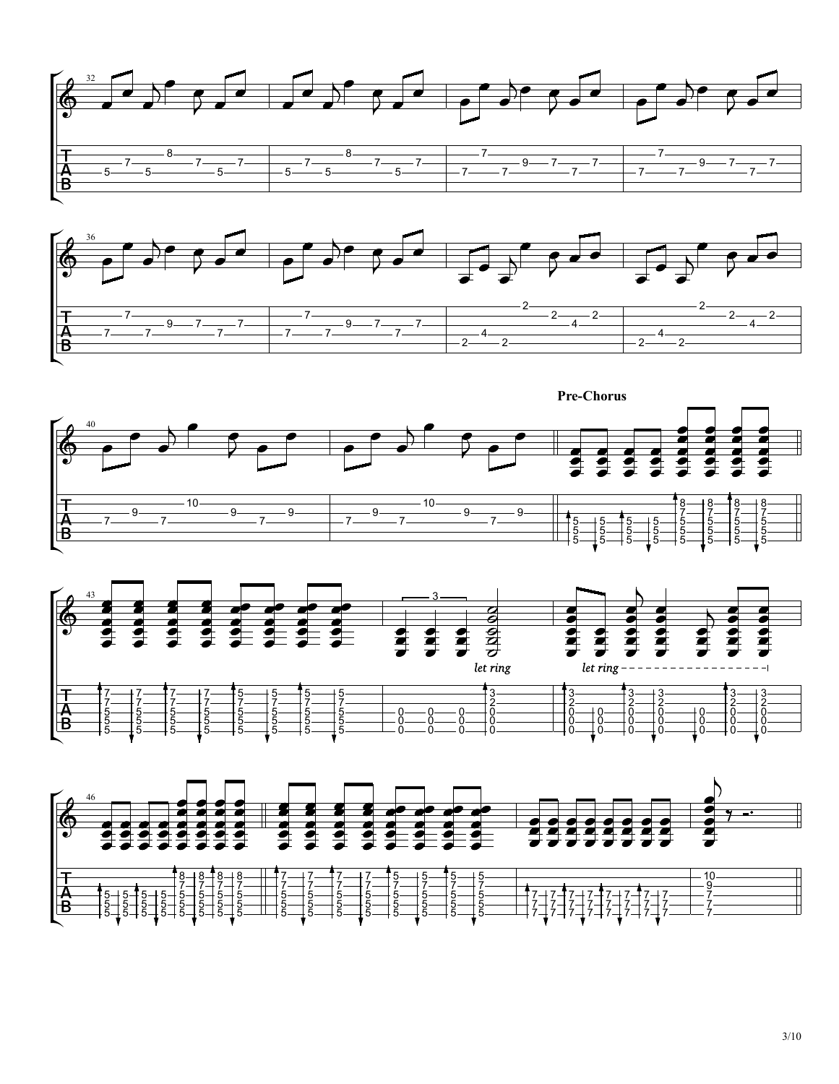







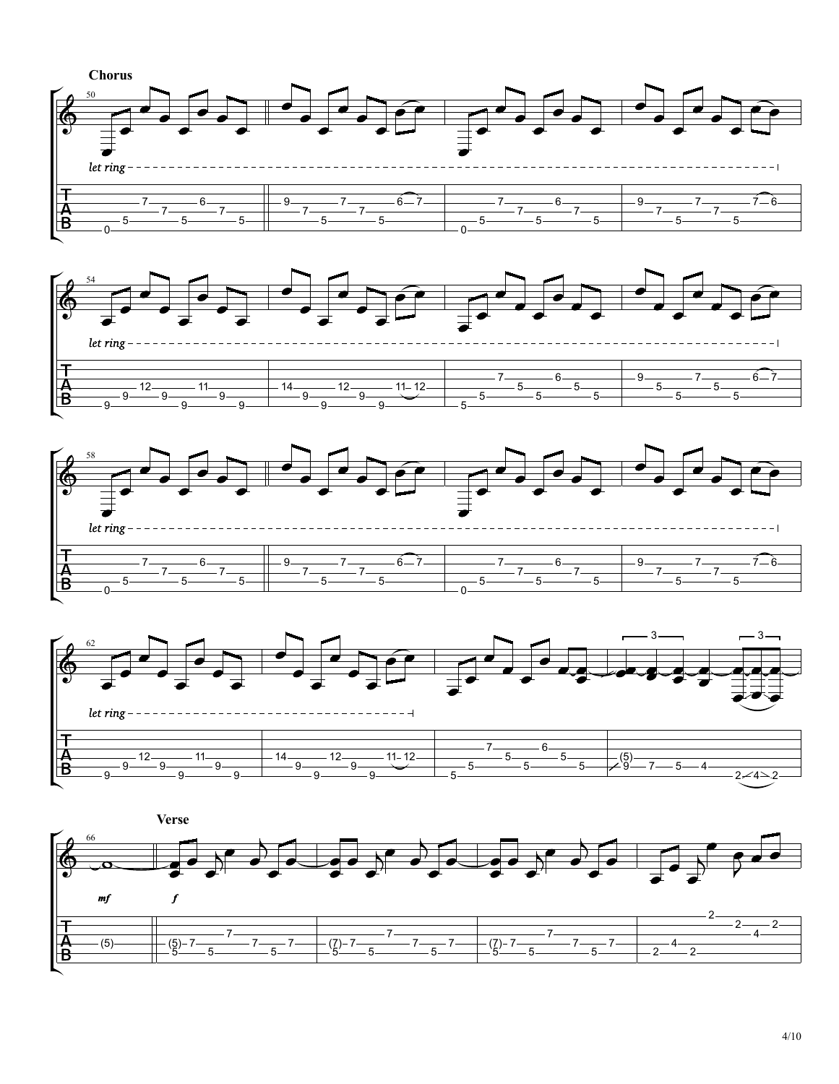







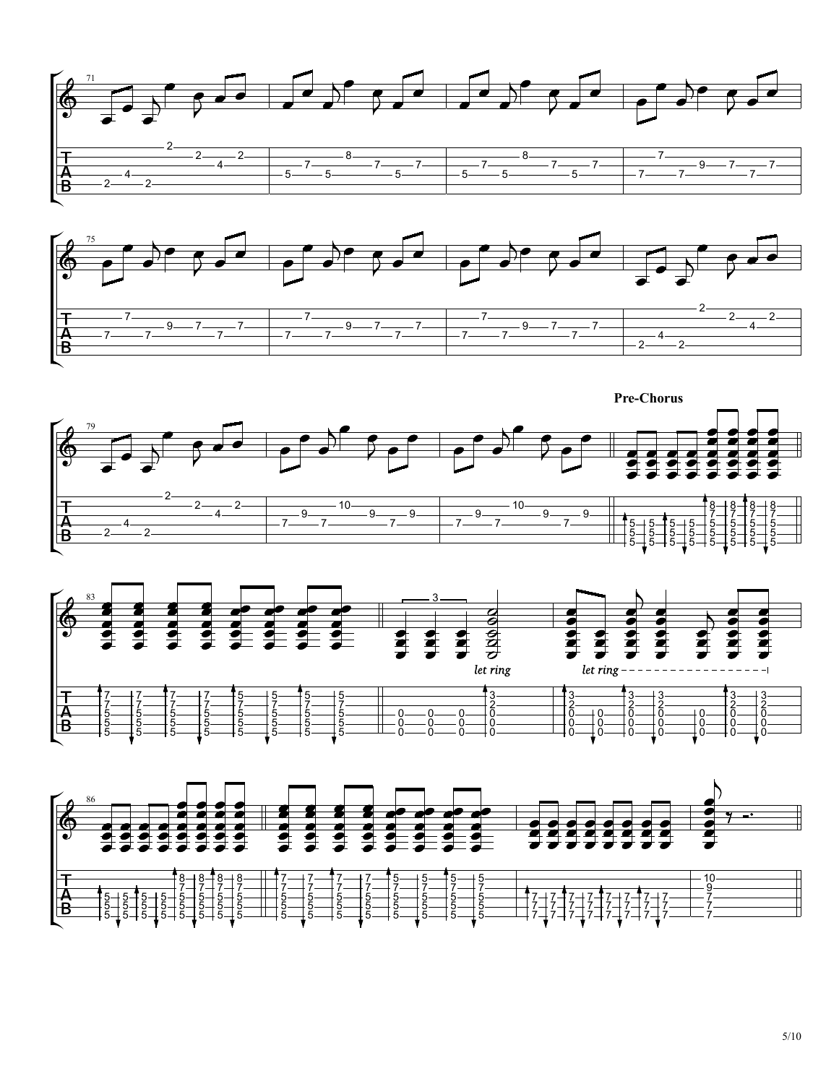







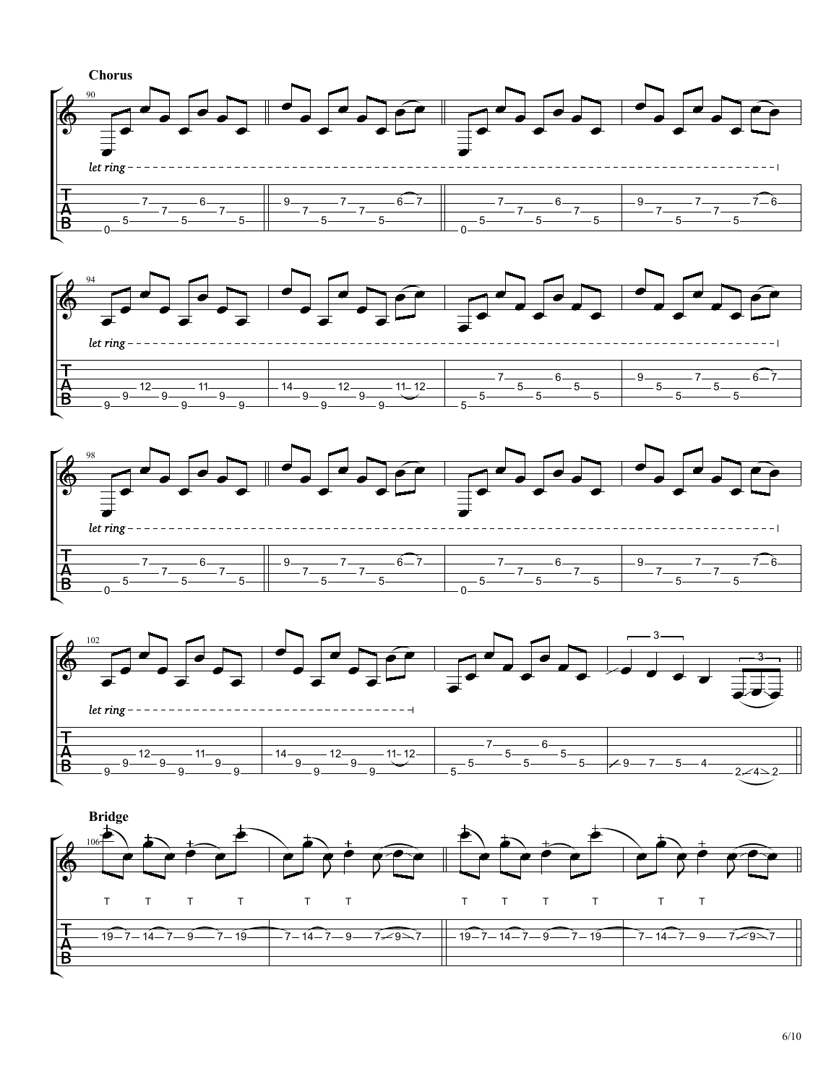







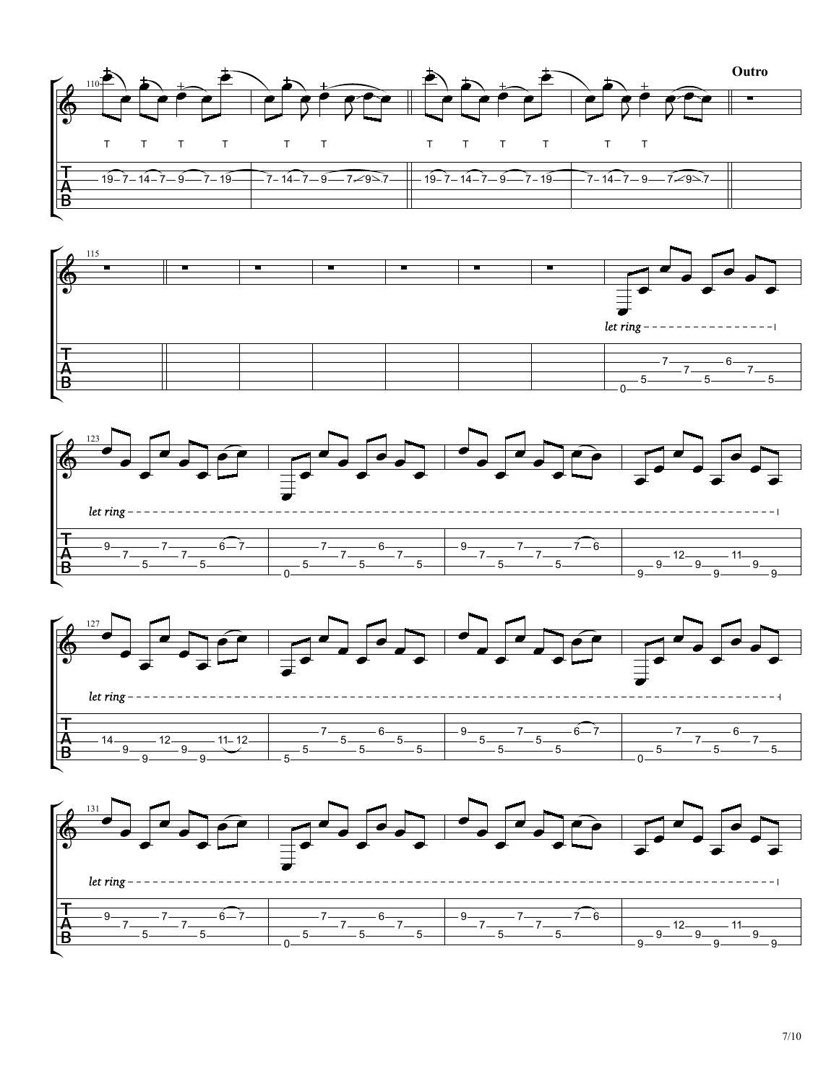







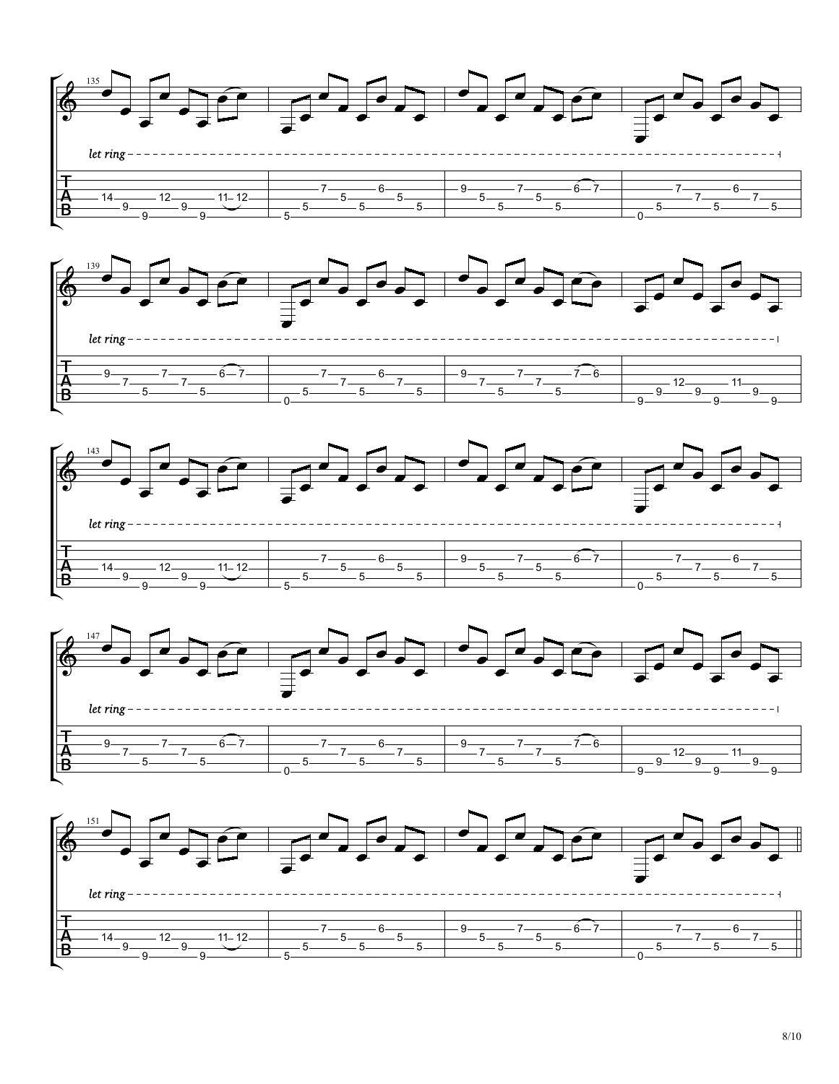







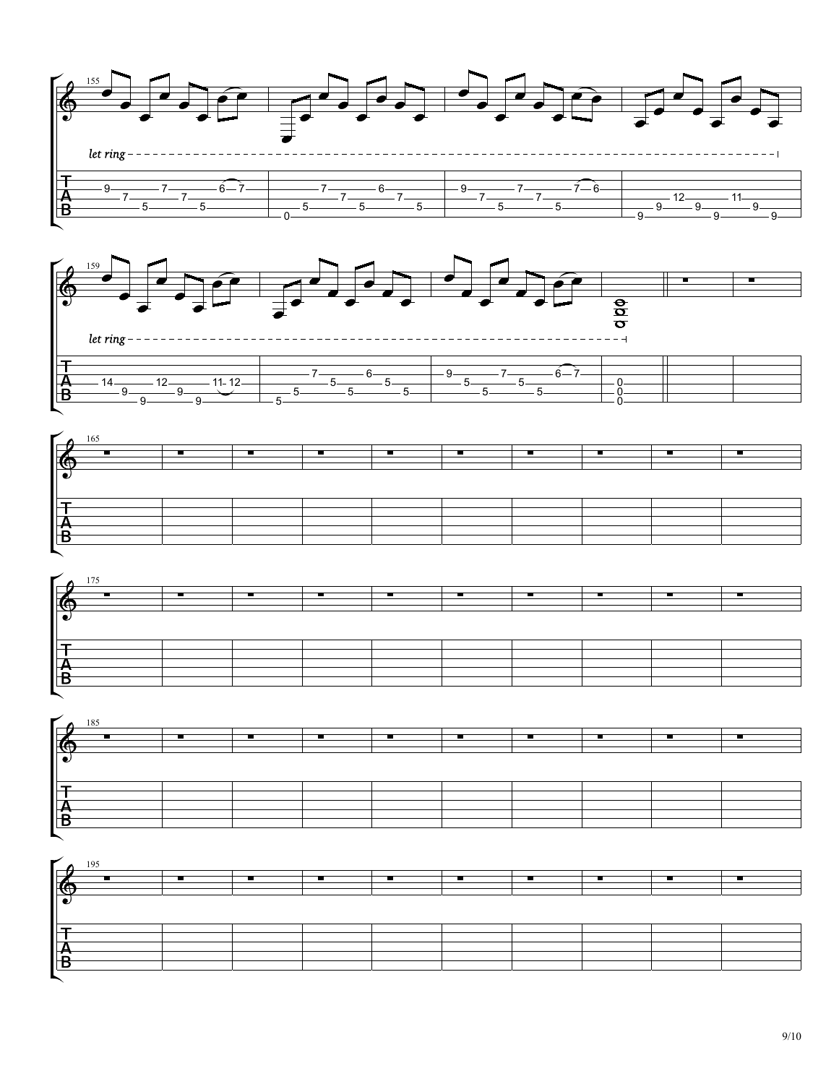









| $\Box$                    |  |  |  |  |  |
|---------------------------|--|--|--|--|--|
|                           |  |  |  |  |  |
| $\overline{\mathfrak{C}}$ |  |  |  |  |  |
|                           |  |  |  |  |  |
|                           |  |  |  |  |  |
|                           |  |  |  |  |  |
|                           |  |  |  |  |  |
|                           |  |  |  |  |  |
|                           |  |  |  |  |  |
|                           |  |  |  |  |  |
| L.                        |  |  |  |  |  |
|                           |  |  |  |  |  |
|                           |  |  |  |  |  |
|                           |  |  |  |  |  |
| ┍                         |  |  |  |  |  |